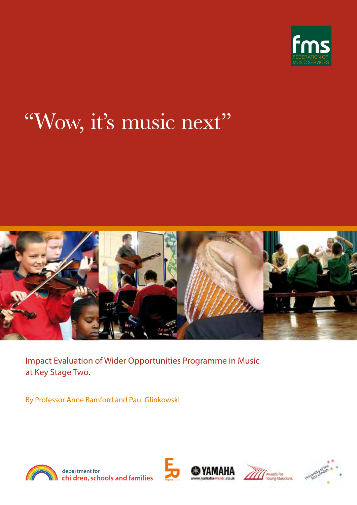

# "Wow, it's music next''



Impact Evaluation of Wider Opportunities Programme in Music at Key Stage Two.

By Professor Anne Bamford and Paul Glinkowski



department for children, schools and families







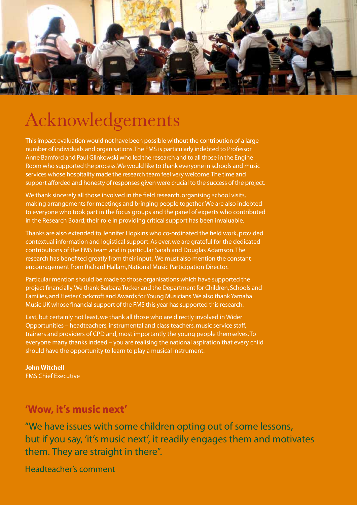

## Acknowledgements

This impact evaluation would not have been possible without the contribution of a large number of individuals and organisations. The FMS is particularly indebted to Professor Anne Bamford and Paul Glinkowski who led the research and to all those in the Engine Room who supported the process. We would like to thank everyone in schools and music services whose hospitality made the research team feel very welcome. The time and support afforded and honesty of responses given were crucial to the success of the project.

We thank sincerely all those involved in the field research, organising school visits, making arrangements for meetings and bringing people together. We are also indebted to everyone who took part in the focus groups and the panel of experts who contributed in the Research Board; their role in providing critical support has been invaluable.

Thanks are also extended to Jennifer Hopkins who co-ordinated the field work, provided contextual information and logistical support. As ever, we are grateful for the dedicated contributions of the FMS team and in particular Sarah and Douglas Adamson. The research has benefited greatly from their input. We must also mention the constant encouragement from Richard Hallam, National Music Participation Director.

Particular mention should be made to those organisations which have supported the project financially. We thank Barbara Tucker and the Department for Children, Schools and Families, and Hester Cockcroft and Awards for Young Musicians. We also thank Yamaha Music UK whose financial support of the FMS this year has supported this research.

Last, but certainly not least, we thank all those who are directly involved in Wider Opportunities – headteachers, instrumental and class teachers, music service staff, trainers and providers of CPD and, most importantly the young people themselves. To everyone many thanks indeed – you are realising the national aspiration that every child should have the opportunity to learn to play a musical instrument.

John Witchell FMS Chief Executive

## 'Wow, it's music next'

"We have issues with some children opting out of some lessons, but if you say, 'it's music next', it readily engages them and motivates them. They are straight in there".

Headteacher's comment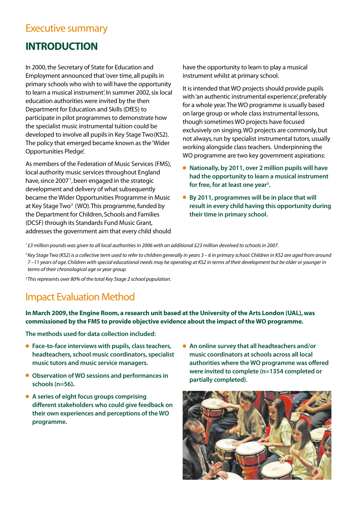### Executive summary

## INTRODUCTION

In 2000, the Secretary of State for Education and Employment announced that 'over time, all pupils in primary schools who wish to will have the opportunity to learn a musical instrument'. In summer 2002, six local education authorities were invited by the then Department for Education and Skills (DfES) to participate in pilot programmes to demonstrate how the specialist music instrumental tuition could be developed to involve all pupils in Key Stage Two(KS2). The policy that emerged became known as the 'Wider Opportunities Pledge'.

As members of the Federation of Music Services (FMS), local authority music services throughout England have, since 2007<sup>1</sup>, been engaged in the strategic development and delivery of what subsequently became the Wider Opportunities Programme in Music at Key Stage Two<sup>2</sup> (WO). This programme, funded by the Department for Children, Schools and Families (DCSF) through its Standards Fund Music Grant, addresses the government aim that every child should have the opportunity to learn to play a musical instrument whilst at primary school.

It is intended that WO projects should provide pupils with 'an authentic instrumental experience', preferably for a whole year. The WO programme is usually based on large group or whole class instrumental lessons, though sometimes WO projects have focused exclusively on singing. WO projects are commonly, but not always, run by specialist instrumental tutors, usually working alongside class teachers. Underpinning the WO programme are two key government aspirations:

- **Nationally, by 2011, over 2 million pupils will have had the opportunity to learn a musical instrument for free, for at least one year3 .**
- **By 2011, programmes will be in place that will result in every child having this opportunity during their time in primary school.**

*1 £3 million pounds was given to all local authorities in 2006 with an additional £23 million devolved to schools in 2007.*

*2 Key Stage Two (KS2) is a collective term used to refer to children generally in years 3 – 6 in primary school. Children in KS2 are aged from around 7 –11 years of age. Children with special educational needs may be operating at KS2 in terms of their development but be older or younger in terms of their chronological age or year group.*

*3 This represents over 80% of the total Key Stage 2 school population.*

## Impact Evaluation Method

**In March 2009, the Engine Room, a research unit based at the University of the Arts London (UAL), was commissioned by the FMS to provide objective evidence about the impact of the WO programme.**

**The methods used for data collection included:**

- **Face-to-face interviews with pupils, class teachers, headteachers, school music coordinators, specialist music tutors and music service managers.**
- **Observation of WO sessions and performances in schools (n=56).**
- **A series of eight focus groups comprising different stakeholders who could give feedback on their own experiences and perceptions of the WO programme.**
- **An online survey that all headteachers and/or music coordinators at schools across all local authorities where the WO programme was offered were invited to complete (n=1354 completed or partially completed).**

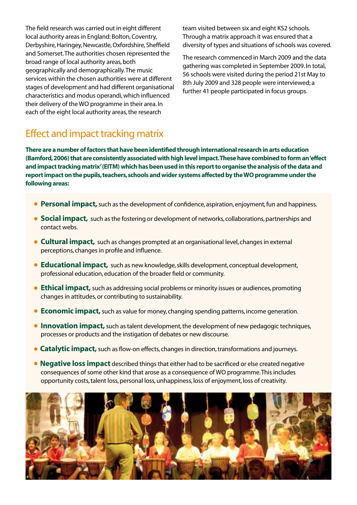The field research was carried out in eight different local authority areas in England: Bolton, Coventry, Derbyshire, Haringey, Newcastle, Oxfordshire, Sheffield and Somerset. The authorities chosen represented the broad range of local authority areas, both geographically and demographically. The music services within the chosen authorities were at different stages of development and had different organisational characteristics and modus operandi, which influenced their delivery of the WO programme in their area. In each of the eight local authority areas, the research

team visited between six and eight KS2 schools. Through a matrix approach it was ensured that a diversity of types and situations of schools was covered.

The research commenced in March 2009 and the data gathering was completed in September 2009. In total, 56 schools were visited during the period 21st May to 8th July 2009 and 328 people were interviewed; a further 41 people participated in focus groups.

## Effect and impact tracking matrix

There are a number of factors that have been identified through international research in arts education (Bamford, 2006) that are consistently associated with high level impact. These have combined to form an 'effect and impact tracking matrix' (EITM) which has been used in this report to organise the analysis of the data and report impact on the pupils, teachers, schools and wider systems affected by the WO programme under the following areas:

- **Personal impact,** such as the development of confidence, aspiration, enjoyment, fun and happiness.
- **Social impact,** such as the fostering or development of networks, collaborations, partnerships and contact webs.
- **c** Cultural impact, such as changes prompted at an organisational level, changes in external perceptions, changes in profile and influence.
- **Educational impact,** such as new knowledge, skills development, conceptual development, professional education, education of the broader field or community.
- **Ethical impact,** such as addressing social problems or minority issues or audiences, promoting changes in attitudes, or contributing to sustainability.
- **Economic impact,** such as value for money, changing spending patterns, income generation.
- **Innovation impact,** such as talent development, the development of new pedagogic techniques, processes or products and the instigation of debates or new discourse.
- **Catalytic impact,** such as flow-on effects, changes in direction, transformations and journeys.
- **Negative loss impact** described things that either had to be sacrificed or else created negative consequences of some other kind that arose as a consequence of WO programme. This includes opportunity costs, talent loss, personal loss, unhappiness, loss of enjoyment, loss of creativity.

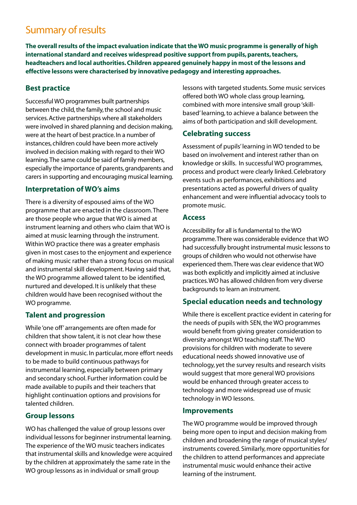## Summary of results

**The overall results of the impact evaluation indicate that the WO music programme is generally of high international standard and receives widespread positive support from pupils, parents, teachers, headteachers and local authorities. Children appeared genuinely happy in most of the lessons and effective lessons were characterised by innovative pedagogy and interesting approaches.**

#### **Best practice**

Successful WO programmes built partnerships between the child, the family, the school and music services. Active partnerships where all stakeholders were involved in shared planning and decision making, were at the heart of best practice. In a number of instances, children could have been more actively involved in decision making with regard to their WO learning. The same could be said of family members, especially the importance of parents, grandparents and carers in supporting and encouraging musical learning.

#### **Interpretation of WO's aims**

There is a diversity of espoused aims of the WO programme that are enacted in the classroom. There are those people who argue that WO is aimed at instrument learning and others who claim that WO is aimed at music learning through the instrument. Within WO practice there was a greater emphasis given in most cases to the enjoyment and experience of making music rather than a strong focus on musical and instrumental skill development. Having said that, the WO programme allowed talent to be identified, nurtured and developed. It is unlikely that these children would have been recognised without the WO programme.

#### **Talent and progression**

While 'one off' arrangements are often made for children that show talent, it is not clear how these connect with broader programmes of talent development in music. In particular, more effort needs to be made to build continuous pathways for instrumental learning, especially between primary and secondary school. Further information could be made available to pupils and their teachers that highlight continuation options and provisions for talented children.

#### **Group lessons**

WO has challenged the value of group lessons over individual lessons for beginner instrumental learning. The experience of the WO music teachers indicates that instrumental skills and knowledge were acquired by the children at approximately the same rate in the WO group lessons as in individual or small group

lessons with targeted students. Some music services offered both WO whole class group learning, combined with more intensive small group 'skillbased' learning, to achieve a balance between the aims of both participation and skill development.

#### **Celebrating success**

Assessment of pupils' learning in WO tended to be based on involvement and interest rather than on knowledge or skills. In successful WO programmes, process and product were clearly linked. Celebratory events such as performances, exhibitions and presentations acted as powerful drivers of quality enhancement and were influential advocacy tools to promote music.

#### **Access**

Accessibility for all is fundamental to the WO programme. There was considerable evidence that WO had successfully brought instrumental music lessons to groups of children who would not otherwise have experienced them. There was clear evidence that WO was both explicitly and implicitly aimed at inclusive practices. WO has allowed children from very diverse backgrounds to learn an instrument.

#### **Special education needs and technology**

While there is excellent practice evident in catering for the needs of pupils with SEN, the WO programmes would benefit from giving greater consideration to diversity amongst WO teaching staff. The WO provisions for children with moderate to severe educational needs showed innovative use of technology, yet the survey results and research visits would suggest that more general WO provisions would be enhanced through greater access to technology and more widespread use of music technology in WO lessons.

#### **Improvements**

The WO programme would be improved through being more open to input and decision making from children and broadening the range of musical styles/ instruments covered. Similarly, more opportunities for the children to attend performances and appreciate instrumental music would enhance their active learning of the instrument.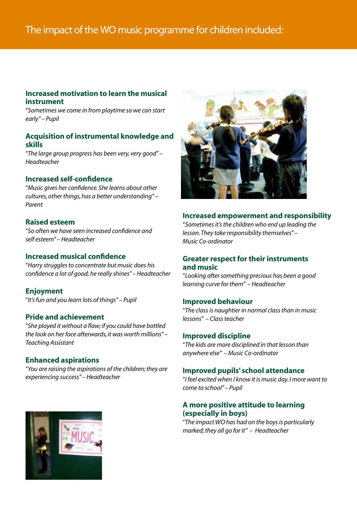#### **Increased motivation to learn the musical instrument**

"*Sometimes we come in from playtime so we can start early" – Pupil*

#### **Acquisition of instrumental knowledge and skills**

"*The large group progress has been very, very good" – Headteacher*

#### **Increased self-confidence**

"*Music gives her confidence. She learns about other cultures, other things, has a better understanding" – Parent*

#### **Raised esteem**

"*So often we have seen increased confidence and self esteem" – Headteacher*

#### **Increased musical confidence**

"*Harry struggles to concentrate but music does his confidence a lot of good; he really shines" – Headteacher*

#### **Enjoyment**

"*It's fun and you learn lots of things" – Pupil*

#### **Pride and achievement**

"*She played it without a flaw; if you could have bottled the look on her face afterwards, it was worth millions" – Teaching Assistant*

#### **Enhanced aspirations**

"*You are raising the aspirations of the children; they are experiencing success" – Headteacher*



#### **Increased empowerment and responsibility**

"*Sometimes it's the children who end up leading the lesson. They take responsibility themselves" – Music Co-ordinator*

#### **Greater respect for their instruments and music**

"*Looking after something precious has been a good learning curve for them" – Headteacher*

#### **Improved behaviour**

"*The class is naughtier in normal class than in music lessons" – Class teacher*

#### **Improved discipline**

"*The kids are more disciplined in that lesson than anywhere else" – Music Co-ordinator*

#### **Improved pupils' school attendance**

"*I feel excited when I know it is music day. I more want to come to school" – Pupil*

#### **A more positive attitude to learning (especially in boys)**

"*The impact WO has had on the boys is particularly marked; they all go for it" – Headteacher*

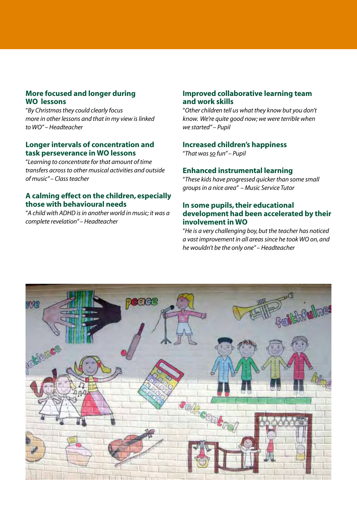#### **More focused and longer during WO lessons**

"*By Christmas they could clearly focus more in other lessons and that in my view is linked to WO" – Headteacher*

#### **Longer intervals of concentration and task perseverance in WO lessons**

"*Learning to concentrate for that amount of time transfers across to other musical activities and outside of music" – Class teacher*

#### **A calming effect on the children, especially those with behavioural needs**

"*A child with ADHD is in another world in music; it was a complete revelation" – Headteacher*

#### **Improved collaborative learning team and work skills**

"*Other children tell us what they know but you don't know. We're quite good now; we were terrible when we started" – Pupil*

#### **Increased children's happiness**

"*That was so fun" – Pupil*

#### **Enhanced instrumental learning**

"*These kids have progressed quicker than some small groups in a nice area" – Music Service Tutor*

#### **In some pupils, their educational development had been accelerated by their involvement in WO**

"*He is a very challenging boy, but the teacher has noticed a vast improvement in all areas since he took WO on, and he wouldn't be the only one" – Headteacher*

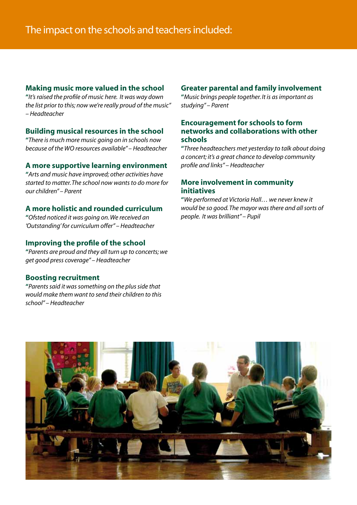#### **Making music more valued in the school**

**"***It's raised the profile of music here. It was way down the list prior to this; now we're really proud of the music" – Headteacher*

#### **Building musical resources in the school**

**"***There is much more music going on in schools now because of the WO resources available" – Headteacher*

#### **A more supportive learning environment**

**"***Arts and music have improved; other activities have started to matter. The school now wants to do more for our children" – Parent*

#### **A more holistic and rounded curriculum**

**"***Ofsted noticed it was going on. We received an 'Outstanding' for curriculum offer" – Headteacher*

#### **Improving the profile of the school**

**"***Parents are proud and they all turn up to concerts; we get good press coverage" – Headteacher*

#### **Boosting recruitment**

**"***Parents said it was something on the plus side that would make them want to send their children to this school" – Headteacher*

#### **Greater parental and family involvement**

**"***Music brings people together. It is as important as studying" – Parent*

#### **Encouragement for schools to form networks and collaborations with other schools**

**"***Three headteachers met yesterday to talk about doing a concert; it's a great chance to develop community profile and links" – Headteacher*

#### **More involvement in community initiatives**

**"***We performed at Victoria Hall… we never knew it would be so good. The mayor was there and all sorts of people. It was brilliant" – Pupil*

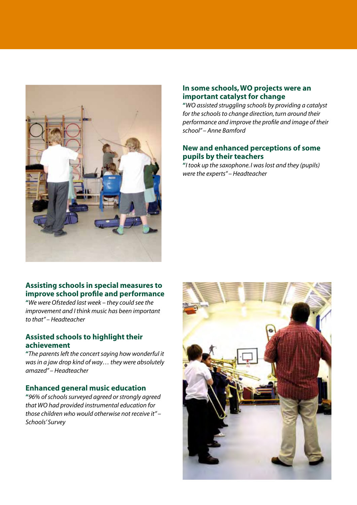

#### **In some schools, WO projects were an important catalyst for change**

**"***WO assisted struggling schools by providing a catalyst for the schools to change direction, turn around their performance and improve the profile and image of their school" – Anne Bamford*

#### **New and enhanced perceptions of some pupils by their teachers**

**"***I took up the saxophone. I was lost and they (pupils) were the experts" – Headteacher*

#### **Assisting schools in special measures to improve school profile and performance**

**"***We were Ofsteded last week – they could see the improvement and I think music has been important to that" – Headteacher*

#### **Assisted schools to highlight their achievement**

**"***The parents left the concert saying how wonderful it was in a jaw drop kind of way… they were absolutely amazed" – Headteacher*

#### **Enhanced general music education**

**"***96% of schools surveyed agreed or strongly agreed that WO had provided instrumental education for those children who would otherwise not receive it" – Schools' Survey*

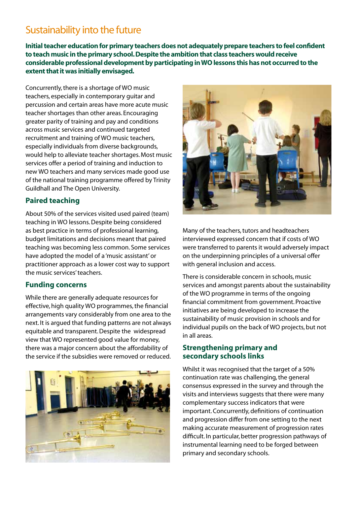## Sustainability into the future

**Initial teacher education for primary teachers does not adequately prepare teachers to feel confident to teach music in the primary school. Despite the ambition that class teachers would receive considerable professional development by participating in WO lessons this has not occurred to the extent that it was initially envisaged.**

Concurrently, there is a shortage of WO music teachers, especially in contemporary guitar and percussion and certain areas have more acute music teacher shortages than other areas. Encouraging greater parity of training and pay and conditions across music services and continued targeted recruitment and training of WO music teachers, especially individuals from diverse backgrounds, would help to alleviate teacher shortages. Most music services offer a period of training and induction to new WO teachers and many services made good use of the national training programme offered by Trinity Guildhall and The Open University.

#### **Paired teaching**

About 50% of the services visited used paired (team) teaching in WO lessons. Despite being considered as best practice in terms of professional learning, budget limitations and decisions meant that paired teaching was becoming less common. Some services have adopted the model of a 'music assistant' or practitioner approach as a lower cost way to support the music services' teachers.

#### **Funding concerns**

While there are generally adequate resources for effective, high quality WO programmes, the financial arrangements vary considerably from one area to the next. It is argued that funding patterns are not always equitable and transparent. Despite the widespread view that WO represented good value for money, there was a major concern about the affordability of the service if the subsidies were removed or reduced.





Many of the teachers, tutors and headteachers interviewed expressed concern that if costs of WO were transferred to parents it would adversely impact on the underpinning principles of a universal offer with general inclusion and access.

There is considerable concern in schools, music services and amongst parents about the sustainability of the WO programme in terms of the ongoing financial commitment from government. Proactive initiatives are being developed to increase the sustainability of music provision in schools and for individual pupils on the back of WO projects, but not in all areas.

#### **Strengthening primary and secondary schools links**

Whilst it was recognised that the target of a 50% continuation rate was challenging, the general consensus expressed in the survey and through the visits and interviews suggests that there were many complementary success indicators that were important. Concurrently, definitions of continuation and progression differ from one setting to the next making accurate measurement of progression rates difficult. In particular, better progression pathways of instrumental learning need to be forged between primary and secondary schools.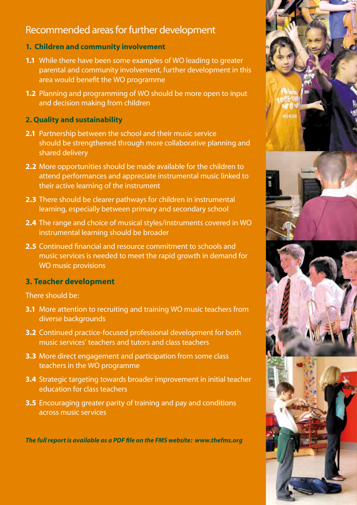## Recommended areas for further development

#### **1. Children and community involvement**

- **1.1** While there have been some examples of WO leading to greater parental and community involvement, further development in this area would benefit the WO programme
- **1.2** Planning and programming of WO should be more open to input and decision making from children

#### **2. Quality and sustainability**

- **2.1** Partnership between the school and their music service should be strengthened through more collaborative planning and shared delivery
- **2.2** More opportunities should be made available for the children to attend performances and appreciate instrumental music linked to their active learning of the instrument
- **2.3** There should be clearer pathways for children in instrumental learning, especially between primary and secondary school
- **2.4** The range and choice of musical styles/instruments covered in WO instrumental learning should be broader
- **2.5** Continued financial and resource commitment to schools and music services is needed to meet the rapid growth in demand for WO music provisions

#### **3. Teacher development**

There should be:

- **3.1** More attention to recruiting and training WO music teachers from diverse backgrounds
- **3.2** Continued practice-focused professional development for both music services' teachers and tutors and class teachers
- **3.3** More direct engagement and participation from some class teachers in the WO programme
- **3.4** Strategic targeting towards broader improvement in initial teacher education for class teachers
- **3.5** Encouraging greater parity of training and pay and conditions across music services

*The full report is available as a PDF file on the FMS website: www.thefms.org*